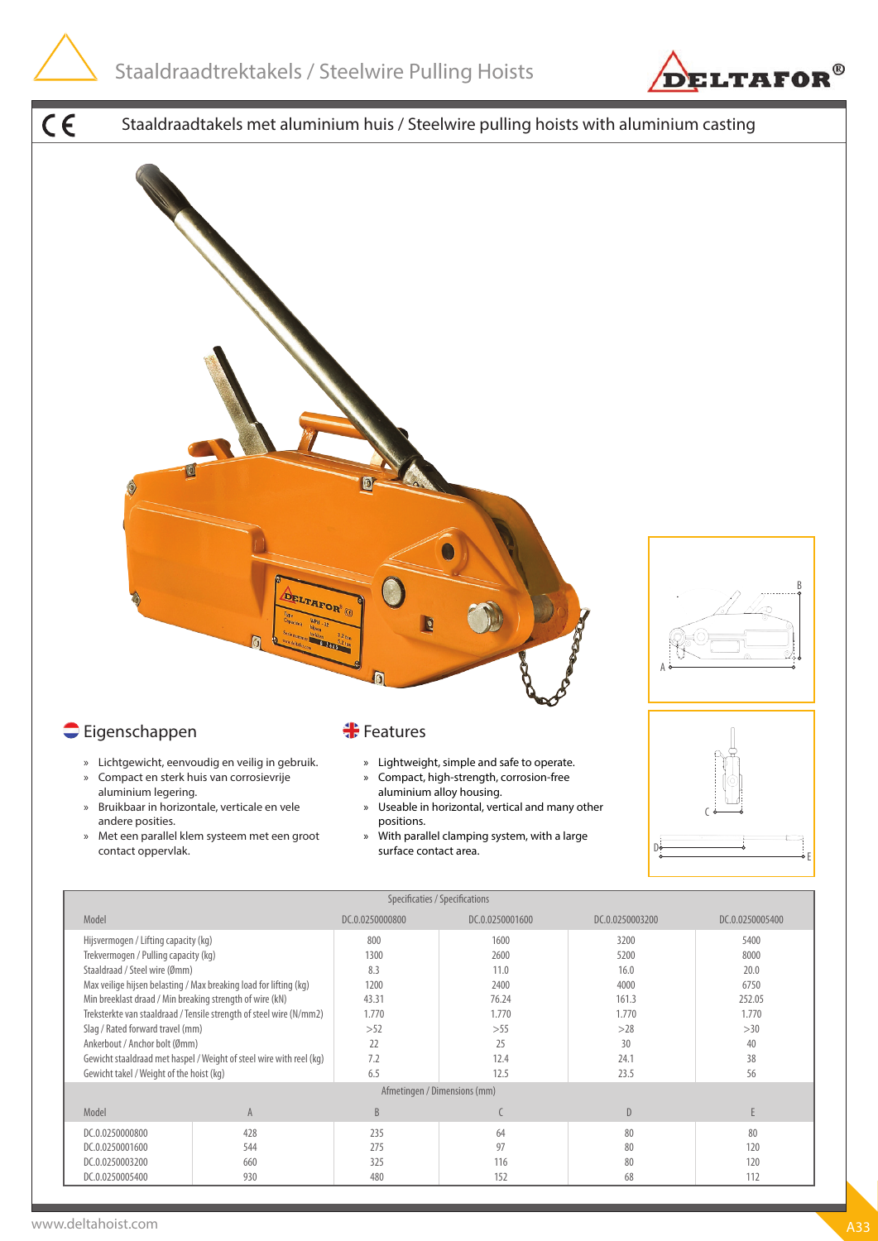

Model A B C D E DC.0.0250000800 | 428 235 | 64 80 | 80 DC.0.0250001600 544 275 97 80 120 DC.0.0250003200 660 325 | 116 | 80 | 120 DC.0.0250005400 | 930 480 | 152 68 112

Gewicht takel / Weight of the hoist (kg) 6.5 12.5 23.5 56

Afmetingen / Dimensions (mm)